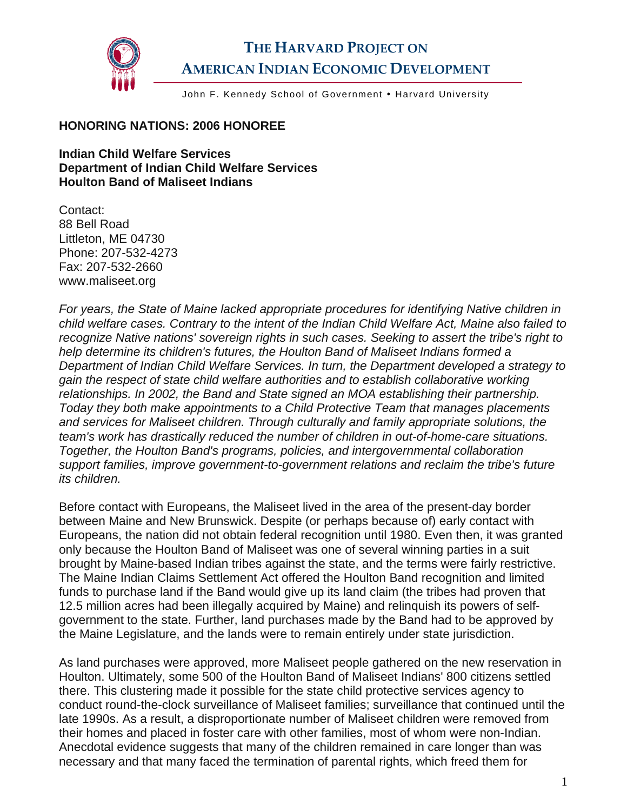

## **THE HARVARD PROJECT ON AMERICAN INDIAN ECONOMIC DEVELOPMENT**

John F. Kennedy School of Government . Harvard University

## **HONORING NATIONS: 2006 HONOREE**

**Indian Child Welfare Services Department of Indian Child Welfare Services Houlton Band of Maliseet Indians** 

Contact: 88 Bell Road Littleton, ME 04730 Phone: 207-532-4273 Fax: 207-532-2660 www.maliseet.org

*For years, the State of Maine lacked appropriate procedures for identifying Native children in child welfare cases. Contrary to the intent of the Indian Child Welfare Act, Maine also failed to recognize Native nations' sovereign rights in such cases. Seeking to assert the tribe's right to help determine its children's futures, the Houlton Band of Maliseet Indians formed a Department of Indian Child Welfare Services. In turn, the Department developed a strategy to gain the respect of state child welfare authorities and to establish collaborative working relationships. In 2002, the Band and State signed an MOA establishing their partnership. Today they both make appointments to a Child Protective Team that manages placements and services for Maliseet children. Through culturally and family appropriate solutions, the team's work has drastically reduced the number of children in out-of-home-care situations. Together, the Houlton Band's programs, policies, and intergovernmental collaboration support families, improve government-to-government relations and reclaim the tribe's future its children.* 

Before contact with Europeans, the Maliseet lived in the area of the present-day border between Maine and New Brunswick. Despite (or perhaps because of) early contact with Europeans, the nation did not obtain federal recognition until 1980. Even then, it was granted only because the Houlton Band of Maliseet was one of several winning parties in a suit brought by Maine-based Indian tribes against the state, and the terms were fairly restrictive. The Maine Indian Claims Settlement Act offered the Houlton Band recognition and limited funds to purchase land if the Band would give up its land claim (the tribes had proven that 12.5 million acres had been illegally acquired by Maine) and relinquish its powers of selfgovernment to the state. Further, land purchases made by the Band had to be approved by the Maine Legislature, and the lands were to remain entirely under state jurisdiction.

As land purchases were approved, more Maliseet people gathered on the new reservation in Houlton. Ultimately, some 500 of the Houlton Band of Maliseet Indians' 800 citizens settled there. This clustering made it possible for the state child protective services agency to conduct round-the-clock surveillance of Maliseet families; surveillance that continued until the late 1990s. As a result, a disproportionate number of Maliseet children were removed from their homes and placed in foster care with other families, most of whom were non-Indian. Anecdotal evidence suggests that many of the children remained in care longer than was necessary and that many faced the termination of parental rights, which freed them for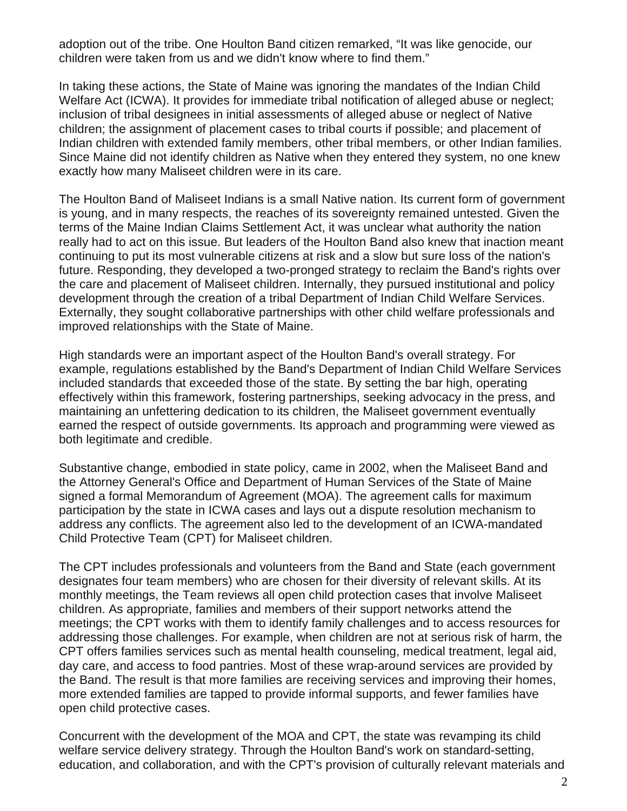adoption out of the tribe. One Houlton Band citizen remarked, "It was like genocide, our children were taken from us and we didn't know where to find them."

In taking these actions, the State of Maine was ignoring the mandates of the Indian Child Welfare Act (ICWA). It provides for immediate tribal notification of alleged abuse or neglect; inclusion of tribal designees in initial assessments of alleged abuse or neglect of Native children; the assignment of placement cases to tribal courts if possible; and placement of Indian children with extended family members, other tribal members, or other Indian families. Since Maine did not identify children as Native when they entered they system, no one knew exactly how many Maliseet children were in its care.

The Houlton Band of Maliseet Indians is a small Native nation. Its current form of government is young, and in many respects, the reaches of its sovereignty remained untested. Given the terms of the Maine Indian Claims Settlement Act, it was unclear what authority the nation really had to act on this issue. But leaders of the Houlton Band also knew that inaction meant continuing to put its most vulnerable citizens at risk and a slow but sure loss of the nation's future. Responding, they developed a two-pronged strategy to reclaim the Band's rights over the care and placement of Maliseet children. Internally, they pursued institutional and policy development through the creation of a tribal Department of Indian Child Welfare Services. Externally, they sought collaborative partnerships with other child welfare professionals and improved relationships with the State of Maine.

High standards were an important aspect of the Houlton Band's overall strategy. For example, regulations established by the Band's Department of Indian Child Welfare Services included standards that exceeded those of the state. By setting the bar high, operating effectively within this framework, fostering partnerships, seeking advocacy in the press, and maintaining an unfettering dedication to its children, the Maliseet government eventually earned the respect of outside governments. Its approach and programming were viewed as both legitimate and credible.

Substantive change, embodied in state policy, came in 2002, when the Maliseet Band and the Attorney General's Office and Department of Human Services of the State of Maine signed a formal Memorandum of Agreement (MOA). The agreement calls for maximum participation by the state in ICWA cases and lays out a dispute resolution mechanism to address any conflicts. The agreement also led to the development of an ICWA-mandated Child Protective Team (CPT) for Maliseet children.

The CPT includes professionals and volunteers from the Band and State (each government designates four team members) who are chosen for their diversity of relevant skills. At its monthly meetings, the Team reviews all open child protection cases that involve Maliseet children. As appropriate, families and members of their support networks attend the meetings; the CPT works with them to identify family challenges and to access resources for addressing those challenges. For example, when children are not at serious risk of harm, the CPT offers families services such as mental health counseling, medical treatment, legal aid, day care, and access to food pantries. Most of these wrap-around services are provided by the Band. The result is that more families are receiving services and improving their homes, more extended families are tapped to provide informal supports, and fewer families have open child protective cases.

Concurrent with the development of the MOA and CPT, the state was revamping its child welfare service delivery strategy. Through the Houlton Band's work on standard-setting, education, and collaboration, and with the CPT's provision of culturally relevant materials and